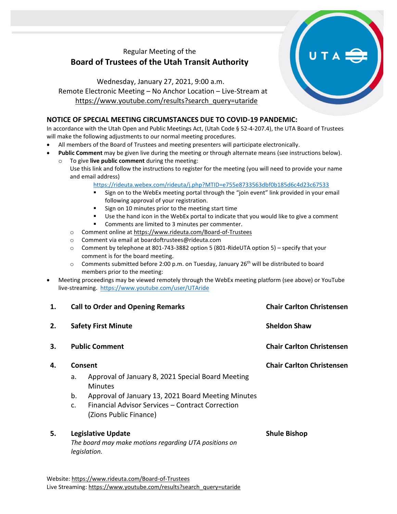## Regular Meeting of the **Board of Trustees of the Utah Transit Authority**

Wednesday, January 27, 2021, 9:00 a.m. Remote Electronic Meeting – No Anchor Location – Live-Stream at [https://www.youtube.com/results?search\\_query=utaride](https://www.youtube.com/results?search_query=utaride)

## **NOTICE OF SPECIAL MEETING CIRCUMSTANCES DUE TO COVID-19 PANDEMIC:**

In accordance with the Utah Open and Public Meetings Act, (Utah Code § 52-4-207.4), the UTA Board of Trustees will make the following adjustments to our normal meeting procedures.

- All members of the Board of Trustees and meeting presenters will participate electronically.
- **Public Comment** may be given live during the meeting or through alternate means (see instructions below).
	- To give live public comment during the meeting: Use this link and follow the instructions to register for the meeting (you will need to provide your name and email address)

<https://rideuta.webex.com/rideuta/j.php?MTID=e755e8733563dbf0b185d6c4d23c67533>

- Sign on to the WebEx meeting portal through the "join event" link provided in your email following approval of your registration.
- Sign on 10 minutes prior to the meeting start time
- Use the hand icon in the WebEx portal to indicate that you would like to give a comment
- Comments are limited to 3 minutes per commenter.
- o Comment online a[t https://www.rideuta.com/Board-of-Trustees](https://www.rideuta.com/Board-of-Trustees)
- o Comment via email at [boardoftrustees@rideuta.com](mailto:boardoftrustees@rideuta.com)
- $\circ$  Comment by telephone at 801-743-3882 option 5 (801-RideUTA option 5) specify that your comment is for the board meeting.
- $\circ$  Comments submitted before 2:00 p.m. on Tuesday, January 26<sup>th</sup> will be distributed to board members prior to the meeting:
- Meeting proceedings may be viewed remotely through the WebEx meeting platform (see above) or YouTube live-streaming. <https://www.youtube.com/user/UTAride>

| <b>Call to Order and Opening Remarks</b><br><b>Safety First Minute</b><br><b>Public Comment</b><br>Consent |  | <b>Chair Carlton Christensen</b><br><b>Sheldon Shaw</b><br><b>Chair Carlton Christensen</b><br><b>Chair Carlton Christensen</b> |                |                                                                            |  |
|------------------------------------------------------------------------------------------------------------|--|---------------------------------------------------------------------------------------------------------------------------------|----------------|----------------------------------------------------------------------------|--|
|                                                                                                            |  |                                                                                                                                 | a.             | Approval of January 8, 2021 Special Board Meeting<br><b>Minutes</b>        |  |
|                                                                                                            |  |                                                                                                                                 | b.             | Approval of January 13, 2021 Board Meeting Minutes                         |  |
|                                                                                                            |  |                                                                                                                                 | $\mathsf{C}$ . | Financial Advisor Services – Contract Correction<br>(Zions Public Finance) |  |
| <b>Legislative Update</b><br>The board may make motions regarding UTA positions on                         |  | <b>Shule Bishop</b>                                                                                                             |                |                                                                            |  |
|                                                                                                            |  | legislation.                                                                                                                    |                |                                                                            |  |